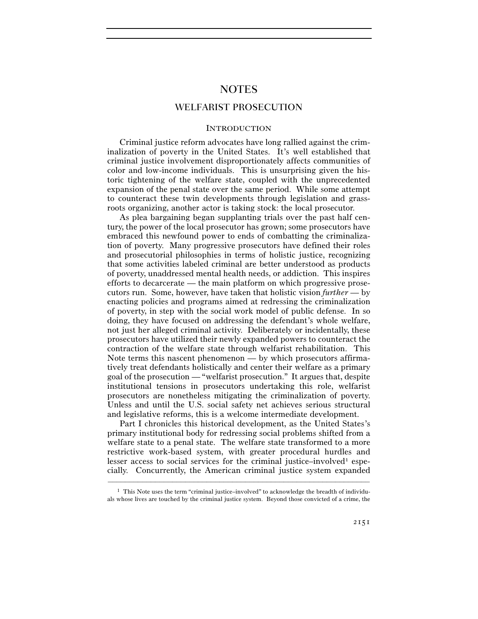# NOTES

## WELFARIST PROSECUTION

## **INTRODUCTION**

Criminal justice reform advocates have long rallied against the criminalization of poverty in the United States. It's well established that criminal justice involvement disproportionately affects communities of color and low-income individuals. This is unsurprising given the historic tightening of the welfare state, coupled with the unprecedented expansion of the penal state over the same period. While some attempt to counteract these twin developments through legislation and grassroots organizing, another actor is taking stock: the local prosecutor.

As plea bargaining began supplanting trials over the past half century, the power of the local prosecutor has grown; some prosecutors have embraced this newfound power to ends of combatting the criminalization of poverty. Many progressive prosecutors have defined their roles and prosecutorial philosophies in terms of holistic justice, recognizing that some activities labeled criminal are better understood as products of poverty, unaddressed mental health needs, or addiction. This inspires efforts to decarcerate — the main platform on which progressive prosecutors run. Some, however, have taken that holistic vision *further* — by enacting policies and programs aimed at redressing the criminalization of poverty, in step with the social work model of public defense. In so doing, they have focused on addressing the defendant's whole welfare, not just her alleged criminal activity. Deliberately or incidentally, these prosecutors have utilized their newly expanded powers to counteract the contraction of the welfare state through welfarist rehabilitation. This Note terms this nascent phenomenon — by which prosecutors affirmatively treat defendants holistically and center their welfare as a primary goal of the prosecution — "welfarist prosecution." It argues that, despite institutional tensions in prosecutors undertaking this role, welfarist prosecutors are nonetheless mitigating the criminalization of poverty. Unless and until the U.S. social safety net achieves serious structural and legislative reforms, this is a welcome intermediate development.

Part I chronicles this historical development, as the United States's primary institutional body for redressing social problems shifted from a welfare state to a penal state. The welfare state transformed to a more restrictive work-based system, with greater procedural hurdles and lesser access to social services for the criminal justice–involved<sup>1</sup> especially. Concurrently, the American criminal justice system expanded

<sup>–––––––––––––––––––––––––––––––––––––––––––––––––––––––––––––</sup>  $<sup>1</sup>$  This Note uses the term "criminal justice–involved" to acknowledge the breadth of individu-</sup> als whose lives are touched by the criminal justice system. Beyond those convicted of a crime, the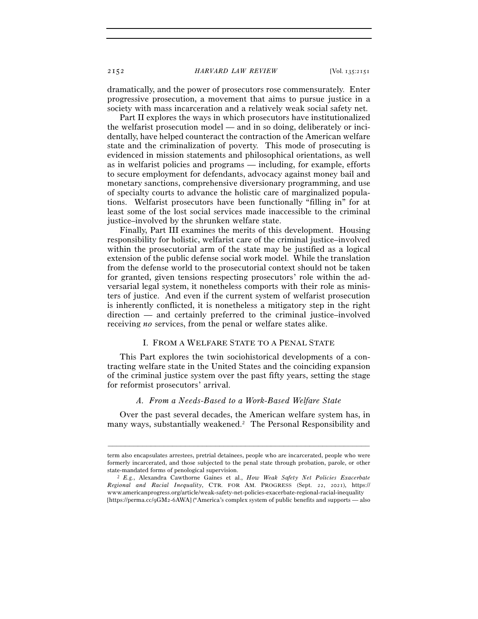dramatically, and the power of prosecutors rose commensurately. Enter progressive prosecution, a movement that aims to pursue justice in a society with mass incarceration and a relatively weak social safety net.

Part II explores the ways in which prosecutors have institutionalized the welfarist prosecution model — and in so doing, deliberately or incidentally, have helped counteract the contraction of the American welfare state and the criminalization of poverty. This mode of prosecuting is evidenced in mission statements and philosophical orientations, as well as in welfarist policies and programs — including, for example, efforts to secure employment for defendants, advocacy against money bail and monetary sanctions, comprehensive diversionary programming, and use of specialty courts to advance the holistic care of marginalized populations. Welfarist prosecutors have been functionally "filling in" for at least some of the lost social services made inaccessible to the criminal justice–involved by the shrunken welfare state.

Finally, Part III examines the merits of this development. Housing responsibility for holistic, welfarist care of the criminal justice–involved within the prosecutorial arm of the state may be justified as a logical extension of the public defense social work model. While the translation from the defense world to the prosecutorial context should not be taken for granted, given tensions respecting prosecutors' role within the adversarial legal system, it nonetheless comports with their role as ministers of justice. And even if the current system of welfarist prosecution is inherently conflicted, it is nonetheless a mitigatory step in the right direction — and certainly preferred to the criminal justice–involved receiving *no* services, from the penal or welfare states alike.

## I. FROM A WELFARE STATE TO A PENAL STATE

This Part explores the twin sociohistorical developments of a contracting welfare state in the United States and the coinciding expansion of the criminal justice system over the past fifty years, setting the stage for reformist prosecutors' arrival.

## *A. From a Needs-Based to a Work-Based Welfare State*

Over the past several decades, the American welfare system has, in many ways, substantially weakened.2 The Personal Responsibility and

term also encapsulates arrestees, pretrial detainees, people who are incarcerated, people who were formerly incarcerated, and those subjected to the penal state through probation, parole, or other

state-mandated forms of penological supervision. 2 *E.g.*, Alexandra Cawthorne Gaines et al., *How Weak Safety Net Policies Exacerbate Regional and Racial Inequality*, CTR. FOR AM. PROGRESS (Sept. 22, 2021), https:// www.americanprogress.org/article/weak-safety-net-policies-exacerbate-regional-racial-inequality [https://perma.cc/9GM2-6AWA] ("America's complex system of public benefits and supports — also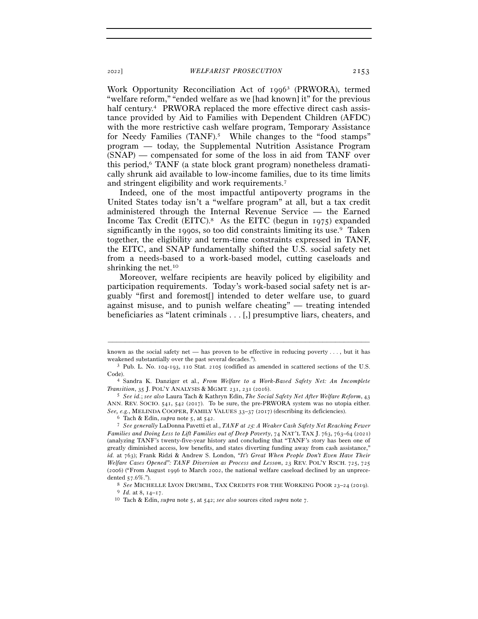Work Opportunity Reconciliation Act of 19963 (PRWORA), termed "welfare reform," "ended welfare as we [had known] it" for the previous half century.<sup>4</sup> PRWORA replaced the more effective direct cash assistance provided by Aid to Families with Dependent Children (AFDC) with the more restrictive cash welfare program, Temporary Assistance for Needy Families (TANF).<sup>5</sup> While changes to the "food stamps" program — today, the Supplemental Nutrition Assistance Program (SNAP) — compensated for some of the loss in aid from TANF over this period,6 TANF (a state block grant program) nonetheless dramatically shrunk aid available to low-income families, due to its time limits and stringent eligibility and work requirements.7

Indeed, one of the most impactful antipoverty programs in the United States today isn't a "welfare program" at all, but a tax credit administered through the Internal Revenue Service — the Earned Income Tax Credit (EITC).<sup>8</sup> As the EITC (begun in 1975) expanded significantly in the 1990s, so too did constraints limiting its use.9 Taken together, the eligibility and term-time constraints expressed in TANF, the EITC, and SNAP fundamentally shifted the U.S. social safety net from a needs-based to a work-based model, cutting caseloads and shrinking the net.10

Moreover, welfare recipients are heavily policed by eligibility and participation requirements. Today's work-based social safety net is arguably "first and foremost[] intended to deter welfare use, to guard against misuse, and to punish welfare cheating" — treating intended beneficiaries as "latent criminals . . . [,] presumptive liars, cheaters, and

<sup>–––––––––––––––––––––––––––––––––––––––––––––––––––––––––––––</sup> known as the social safety net — has proven to be effective in reducing poverty . . . , but it has weakened substantially over the past several decades.").<br><sup>3</sup> Pub. L. No. 104-193, 110 Stat. 2105 (codified as amended in scattered sections of the U.S.

Code). 4 Sandra K. Danziger et al., *From Welfare to a Work-Based Safety Net: An Incomplete* 

*Transition*, 35 J. POL'Y ANALYSIS & MGMT. 231, 231 (<sup>2016</sup>). 5 *See id.*; *see also* Laura Tach & Kathryn Edin, *The Social Safety Net After Welfare Reform*, <sup>43</sup>

ANN. REV. SOCIO. 541, 542 (2017). To be sure, the pre-PRWORA system was no utopia either. See, e.g., MELINDA COOPER, FAMILY VALUES 33–37 (2017) (describing its deficiencies).<br>
<sup>6</sup> Tach & Edin, *supra* note 5, at 542.<br>
<sup>7</sup> See generally LaDonna Pavetti et al., *TANF at 25: A Weaker Cash Safety Net Reaching Fewe* 

*Families and Doing Less to Lift Families out of Deep Poverty*, 74 NAT'L TAX J. 763, 763–64 (2021) (analyzing TANF's twenty-five-year history and concluding that "TANF's story has been one of greatly diminished access, low benefits, and states diverting funding away from cash assistance," *id.* at 763); Frank Ridzi & Andrew S. London, *"It's Great When People Don't Even Have Their Welfare Cases Opened": TANF Diversion as Process and Lesson*, 23 REV. POL'Y RSCH. 725, 725 (2006) ("From August 1996 to March 2002, the national welfare caseload declined by an unprecedented 57.6%.").

<sup>8</sup> *See* MICHELLE LYON DRUMBL, TAX CREDITS FOR THE WORKING POOR <sup>23</sup>–24 (<sup>2019</sup>). 9 *Id.* at 8, 14–<sup>17</sup>. 10 Tach & Edin, *supra* note 5, at 542; *see also* sources cited *supra* note 7.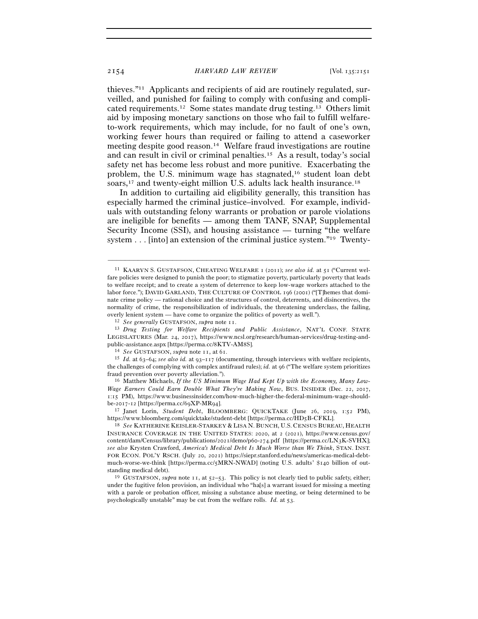thieves."11 Applicants and recipients of aid are routinely regulated, surveilled, and punished for failing to comply with confusing and complicated requirements.12 Some states mandate drug testing.13 Others limit aid by imposing monetary sanctions on those who fail to fulfill welfareto-work requirements, which may include, for no fault of one's own, working fewer hours than required or failing to attend a caseworker meeting despite good reason.14 Welfare fraud investigations are routine and can result in civil or criminal penalties.15 As a result, today's social safety net has become less robust and more punitive. Exacerbating the problem, the U.S. minimum wage has stagnated,16 student loan debt soars,17 and twenty-eight million U.S. adults lack health insurance.18

In addition to curtailing aid eligibility generally, this transition has especially harmed the criminal justice–involved. For example, individuals with outstanding felony warrants or probation or parole violations are ineligible for benefits — among them TANF, SNAP, Supplemental Security Income (SSI), and housing assistance — turning "the welfare system . . . [into] an extension of the criminal justice system."19 Twenty-

–––––––––––––––––––––––––––––––––––––––––––––––––––––––––––––

LEGISLATURES (Mar. 24, 2017), https://www.ncsl.org/research/human-services/drug-testing-andpublic-assistance.aspx [https://perma.cc/8KTV-AM8S].<br><sup>14</sup> See GUSTAFSON, *supra* note 11, at 61.<br><sup>15</sup> Id. at 63–64; see also id. at 93–117 (documenting, through interviews with welfare recipients,

the challenges of complying with complex antifraud rules); *id.* at 96 ("The welfare system prioritizes fraud prevention over poverty alleviation."). 16 Matthew Michaels, *If the US Minimum Wage Had Kept Up with the Economy, Many Low-*

*Wage Earners Could Earn Double What They're Making Now*, BUS. INSIDER (Dec. 22, 2017, 1:15 PM), https://www.businessinsider.com/how-much-higher-the-federal-minimum-wage-shouldbe-2017-12 [https://perma.cc/69XP-MR<sup>94</sup>]. 17 Janet Lorin, *Student Debt*, BLOOMBERG: QUICKTAKE (June 26, 2019, 1:52 PM),

https://www.bloomberg.com/quicktake/student-debt [https://perma.cc/HD<sup>5</sup>B-CFKL]. 18 *See* KATHERINE KEISLER-STARKEY & LISA N. BUNCH, U.S. CENSUS BUREAU, HEALTH

INSURANCE COVERAGE IN THE UNITED STATES: 2020, at 2 (2021), https://www.census.gov/ content/dam/Census/library/publications/2021/demo/p60-274.pdf [https://perma.cc/LN3K-SVHX]; *see also* Krysten Crawford, *America's Medical Debt Is Much Worse than We Think*, STAN. INST. FOR ECON. POL'Y RSCH. (July 20, 2021) https://siepr.stanford.edu/news/americas-medical-debtmuch-worse-we-think [https://perma.cc/5MRN-NWAD] (noting U.S. adults' \$140 billion of out-

standing medical debt). 19 GUSTAFSON, *supra* note 11, at 52–53. This policy is not clearly tied to public safety, either; under the fugitive felon provision, an individual who "ha[s] a warrant issued for missing a meeting with a parole or probation officer, missing a substance abuse meeting, or being determined to be psychologically unstable" may be cut from the welfare rolls. *Id.* at 53.

<sup>11</sup> KAARYN S. GUSTAFSON, CHEATING WELFARE 1 (2011); *see also id.* at 51 ("Current welfare policies were designed to punish the poor; to stigmatize poverty, particularly poverty that leads to welfare receipt; and to create a system of deterrence to keep low-wage workers attached to the labor force."); DAVID GARLAND, THE CULTURE OF CONTROL 196 (2001) ("[T]hemes that dominate crime policy — rational choice and the structures of control, deterrents, and disincentives, the normality of crime, the responsibilization of individuals, the threatening underclass, the failing, overly lenient system — have come to organize the politics of poverty as well.").<br><sup>12</sup> See generally GUSTAFSON, supra note 11.<br><sup>13</sup> Drug Testing for Welfare Recipients and Public Assistance, NAT'L CONF. STATE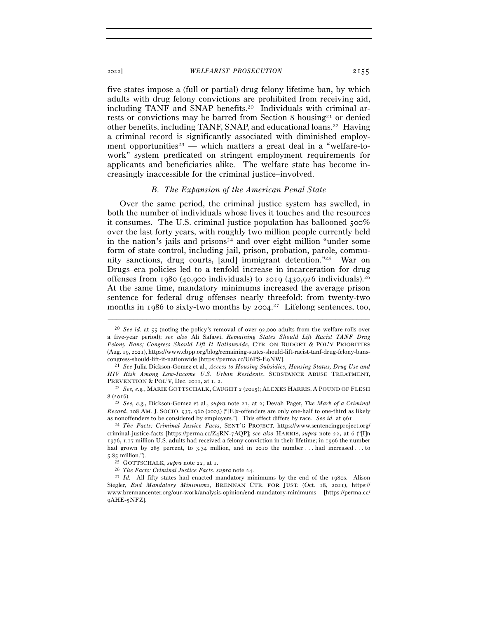five states impose a (full or partial) drug felony lifetime ban, by which adults with drug felony convictions are prohibited from receiving aid, including TANF and SNAP benefits.20 Individuals with criminal arrests or convictions may be barred from Section 8 housing21 or denied other benefits, including TANF, SNAP, and educational loans.22 Having a criminal record is significantly associated with diminished employment opportunities<sup>23</sup> — which matters a great deal in a "welfare-towork" system predicated on stringent employment requirements for applicants and beneficiaries alike. The welfare state has become increasingly inaccessible for the criminal justice–involved.

## *B. The Expansion of the American Penal State*

Over the same period, the criminal justice system has swelled, in both the number of individuals whose lives it touches and the resources it consumes. The U.S. criminal justice population has ballooned 500% over the last forty years, with roughly two million people currently held in the nation's jails and prisons<sup>24</sup> and over eight million "under some form of state control, including jail, prison, probation, parole, community sanctions, drug courts, [and] immigrant detention."25 War on Drugs–era policies led to a tenfold increase in incarceration for drug offenses from 1980 (40,900 individuals) to 2019 (430,926 individuals).<sup>26</sup> At the same time, mandatory minimums increased the average prison sentence for federal drug offenses nearly threefold: from twenty-two months in 1986 to sixty-two months by 2004.<sup>27</sup> Lifelong sentences, too,

–––––––––––––––––––––––––––––––––––––––––––––––––––––––––––––

<sup>8</sup> (<sup>2016</sup>). 23 *See, e.g.*, Dickson-Gomez et al., *supra* note 21, at 2; Devah Pager, *The Mark of a Criminal Record*, 108 AM. J. SOCIO. 937, 960 (2003) ("[E]x-offenders are only one-half to one-third as likely as nonoffenders to be considered by employers."). This effect differs by race. *See id.* at <sup>961</sup>. 24 *The Facts: Criminal Justice Facts*, SENT'G PROJECT, https://www.sentencingproject.org/

criminal-justice-facts [https://perma.cc/Z4RN-7AQP]; *see also* HARRIS, *supra* note 22, at 6 ("[I]n 1976, 1.17 million U.S. adults had received a felony conviction in their lifetime; in 1996 the number had grown by 285 percent, to 3.34 million, and in 2010 the number . . . had increased . . . to 5.85 million.").

<sup>20</sup> *See id.* at 55 (noting the policy's removal of over 92,000 adults from the welfare rolls over a five-year period); *see also* Ali Safawi, *Remaining States Should Lift Racist TANF Drug Felony Bans; Congress Should Lift It Nationwide*, CTR. ON BUDGET & POL'Y PRIORITIES (Aug. 19, 2021), https://www.cbpp.org/blog/remaining-states-should-lift-racist-tanf-drug-felony-bans-

congress-should-lift-it-nationwide [https://perma.cc/U6PS-E<sup>9</sup>NW]. 21 *See* Julia Dickson-Gomez et al., *Access to Housing Subsidies, Housing Status, Drug Use and HIV Risk Among Low-Income U.S. Urban Residents*, SUBSTANCE ABUSE TREATMENT, PREVENTION & POL'Y, Dec. <sup>2011</sup>, at 1, <sup>2</sup>. 22 *See, e.g.*, MARIE GOTTSCHALK, CAUGHT <sup>2</sup> (2015); ALEXES HARRIS, <sup>A</sup> POUND OF FLESH

<sup>25</sup> GOTTSCHALK, *supra* note 22, at <sup>1</sup>. 26 *The Facts: Criminal Justice Facts*, *supra* note <sup>24</sup>. 27 *Id.* All fifty states had enacted mandatory minimums by the end of the 1980s. Alison Siegler, *End Mandatory Minimums*, BRENNAN CTR. FOR JUST. (Oct. 18, 2021), https:// www.brennancenter.org/our-work/analysis-opinion/end-mandatory-minimums [https://perma.cc/ 9AHE-5NFZ].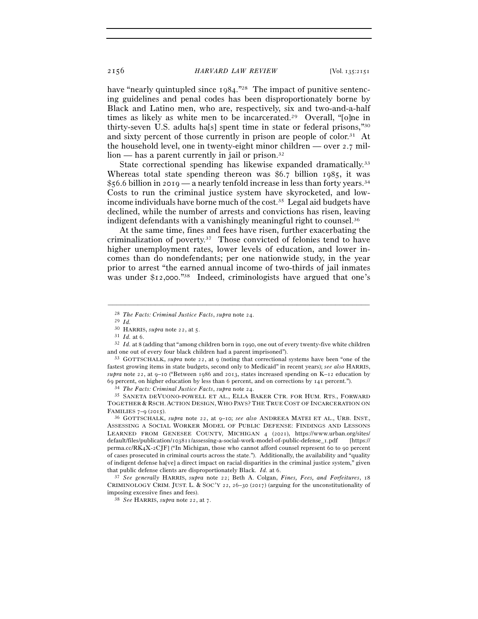have "nearly quintupled since 1984."<sup>28</sup> The impact of punitive sentencing guidelines and penal codes has been disproportionately borne by Black and Latino men, who are, respectively, six and two-and-a-half times as likely as white men to be incarcerated.<sup>29</sup> Overall, "[o]ne in thirty-seven U.S. adults ha[s] spent time in state or federal prisons,"30 and sixty percent of those currently in prison are people of color.<sup>31</sup> At the household level, one in twenty-eight minor children — over 2.7 mil- $\lim$  — has a parent currently in jail or prison.<sup>32</sup>

State correctional spending has likewise expanded dramatically.<sup>33</sup> Whereas total state spending thereon was \$6.7 billion 1985, it was \$56.6 billion in 2019 — a nearly tenfold increase in less than forty years.34 Costs to run the criminal justice system have skyrocketed, and lowincome individuals have borne much of the cost.35 Legal aid budgets have declined, while the number of arrests and convictions has risen, leaving indigent defendants with a vanishingly meaningful right to counsel.<sup>36</sup>

At the same time, fines and fees have risen, further exacerbating the criminalization of poverty.37 Those convicted of felonies tend to have higher unemployment rates, lower levels of education, and lower incomes than do nondefendants; per one nationwide study, in the year prior to arrest "the earned annual income of two-thirds of jail inmates was under \$12,000."<sup>38</sup> Indeed, criminologists have argued that one's

<sup>28</sup> *The Facts: Criminal Justice Facts*, *supra* note <sup>24</sup>. 29 *Id.*

<sup>&</sup>lt;sup>31</sup> *Id.* at 6. 32 *Id.* at 8 (adding that "among children born in 1990, one out of every twenty-five white children and one out of every four black children had a parent imprisoned").<br><sup>33</sup> GOTTSCHALK, *supra* note 22, at 9 (noting that correctional systems have been "one of the

fastest growing items in state budgets, second only to Medicaid" in recent years); *see also* HARRIS, *supra* note 22, at 9–10 ("Between 1986 and 2013, states increased spending on K–12 education by % 69 percent, on higher education by less than 6 percent, and on corrections by 141 percent.").<br><sup>34</sup> *The Facts: Criminal Justice Facts, supra* note 24.<br><sup>35</sup> SANETA DEVUONO-POWELL ET AL., ELLA BAKER CTR. FOR HUM. RTS., FO

TOGETHER & RSCH. ACTION DESIGN, WHO PAYS? THE TRUE COST OF INCARCERATION ON FAMILIES <sup>7</sup>–9 (<sup>2015</sup>). 36 GOTTSCHALK, *supra* note 22, at 9–10; *see also* ANDREEA MATEI ET AL., URB. INST.,

ASSESSING A SOCIAL WORKER MODEL OF PUBLIC DEFENSE: FINDINGS AND LESSONS LEARNED FROM GENESEE COUNTY, MICHIGAN 4 (2021), https://www.urban.org/sites/ default/files/publication/103811/assessing-a-social-work-model-of-public-defense\_1.pdf [https:// perma.cc/RK4X-2CJF] ("In Michigan, those who cannot afford counsel represent 60 to 90 percent of cases prosecuted in criminal courts across the state."). Additionally, the availability and "quality of indigent defense ha[ve] a direct impact on racial disparities in the criminal justice system," given that public defense clients are disproportionately Black. *Id.* at <sup>6</sup>. 37 *See generally* HARRIS, *supra* note 22; Beth A. Colgan, *Fines, Fees, and Forfeitures*, <sup>18</sup>

CRIMINOLOGY CRIM. JUST. L. & SOC'Y 22, 26–30 (2017) (arguing for the unconstitutionality of imposing excessive fines and fees). 38 *See* HARRIS, *supra* note 22, at 7.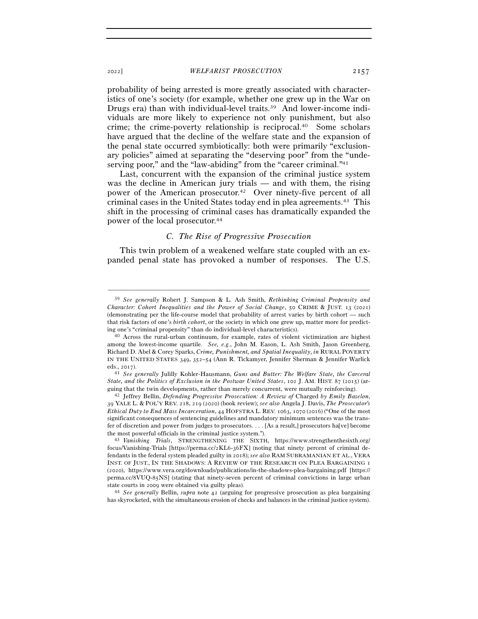probability of being arrested is more greatly associated with characteristics of one's society (for example, whether one grew up in the War on Drugs era) than with individual-level traits.<sup>39</sup> And lower-income individuals are more likely to experience not only punishment, but also crime; the crime-poverty relationship is reciprocal.40 Some scholars have argued that the decline of the welfare state and the expansion of the penal state occurred symbiotically: both were primarily "exclusionary policies" aimed at separating the "deserving poor" from the "undeserving poor," and the "law-abiding" from the "career criminal."<sup>41</sup>

Last, concurrent with the expansion of the criminal justice system was the decline in American jury trials — and with them, the rising power of the American prosecutor.42 Over ninety-five percent of all criminal cases in the United States today end in plea agreements.43 This shift in the processing of criminal cases has dramatically expanded the power of the local prosecutor.44

## *C. The Rise of Progressive Prosecution*

This twin problem of a weakened welfare state coupled with an expanded penal state has provoked a number of responses. The U.S.

–––––––––––––––––––––––––––––––––––––––––––––––––––––––––––––

has skyrocketed, with the simultaneous erosion of checks and balances in the criminal justice system).

<sup>39</sup> *See generally* Robert J. Sampson & L. Ash Smith, *Rethinking Criminal Propensity and Character: Cohort Inequalities and the Power of Social Change*, 50 CRIME & JUST. 13 (2021) (demonstrating per the life-course model that probability of arrest varies by birth cohort — such that risk factors of one's *birth cohort*, or the society in which one grew up, matter more for predict-

ing one's "criminal propensity" than do individual-level characteristics). 40 Across the rural-urban continuum, for example, rates of violent victimization are highest among the lowest-income quartile. *See, e.g.*, John M. Eason, L. Ash Smith, Jason Greenberg, Richard D. Abel & Corey Sparks, *Crime, Punishment, and Spatial Inequality*, *in* RURAL POVERTY IN THE UNITED STATES 349, 352–54 (Ann R. Tickamyer, Jennifer Sherman & Jennifer Warlick eds., <sup>2017</sup>). 41 *See generally* Julilly Kohler-Hausmann, *Guns and Butter: The Welfare State, the Carceral* 

*State, and the Politics of Exclusion in the Postwar United States*, 102 J. AM. HIST. 87 (2015) (arguing that the twin developments, rather than merely concurrent, were mutually reinforcing). 42 Jeffrey Bellin, *Defending Progressive Prosecution: A Review of* Charged *by Emily Bazelon*,

<sup>39</sup> YALE L. & POL'Y REV. 218, 219 (2020) (book review); *see also* Angela J. Davis, *The Prosecutor's Ethical Duty to End Mass Incarceration*, 44 HOFSTRA L. REV. 1063, 1070 (2016) ("One of the most significant consequences of sentencing guidelines and mandatory minimum sentences was the transfer of discretion and power from judges to prosecutors. . . . [As a result,] prosecutors ha[ve] become the most powerful officials in the criminal justice system."). 43 *Vanishing Trials*, STRENGTHENING THE SIXTH, https://www.strengthenthesixth.org/

focus/Vanishing-Trials [https://perma.cc/2KL6-36FX] (noting that ninety percent of criminal defendants in the federal system pleaded guilty in 2018); *see also* RAM SUBRAMANIAN ET AL., VERA INST. OF JUST., IN THE SHADOWS: A REVIEW OF THE RESEARCH ON PLEA BARGAINING 1 (2020), https://www.vera.org/downloads/publications/in-the-shadows-plea-bargaining.pdf [https:// perma.cc/8VUQ-85NS] (stating that ninety-seven percent of criminal convictions in large urban state courts in <sup>2009</sup> were obtained via guilty pleas). 44 *See generally* Bellin, *supra* note 42 (arguing for progressive prosecution as plea bargaining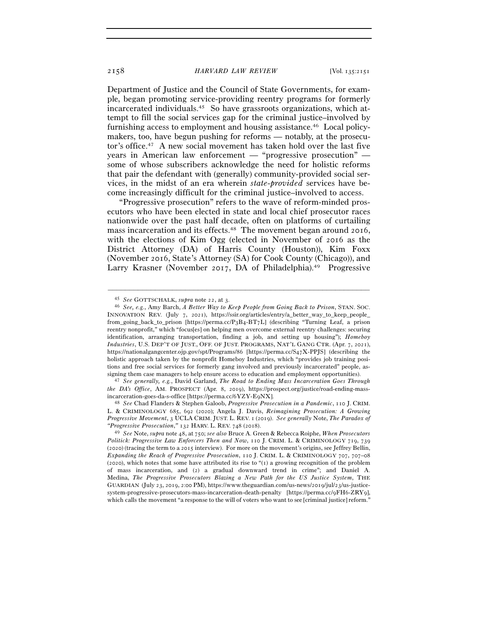Department of Justice and the Council of State Governments, for example, began promoting service-providing reentry programs for formerly incarcerated individuals.45 So have grassroots organizations, which attempt to fill the social services gap for the criminal justice–involved by furnishing access to employment and housing assistance.46 Local policymakers, too, have begun pushing for reforms — notably, at the prosecutor's office.47 A new social movement has taken hold over the last five years in American law enforcement — "progressive prosecution" some of whose subscribers acknowledge the need for holistic reforms that pair the defendant with (generally) community-provided social services, in the midst of an era wherein *state-provided* services have become increasingly difficult for the criminal justice–involved to access.

"Progressive prosecution" refers to the wave of reform-minded prosecutors who have been elected in state and local chief prosecutor races nationwide over the past half decade, often on platforms of curtailing mass incarceration and its effects.48 The movement began around 2016, with the elections of Kim Ogg (elected in November of 2016 as the District Attorney (DA) of Harris County (Houston)), Kim Foxx (November 2016, State's Attorney (SA) for Cook County (Chicago)), and Larry Krasner (November 2017, DA of Philadelphia).<sup>49</sup> Progressive

–––––––––––––––––––––––––––––––––––––––––––––––––––––––––––––

*the DA's Office*, AM. PROSPECT (Apr. 8, 2019), https://prospect.org/justice/road-ending-massincarceration-goes-da-s-office [https://perma.cc/6YZY-E<sup>9</sup>NX]. 48 *See* Chad Flanders & Stephen Galoob, *Progressive Prosecution in a Pandemic*, 110 J. CRIM.

L. & CRIMINOLOGY 685, 692 (2020); Angela J. Davis, *Reimagining Prosecution: A Growing Progressive Movement*, 3 UCLA CRIM. JUST. L. REV. 1 (2019). *See generally* Note, *The Paradox of "Progressive Prosecution*,*"* <sup>132</sup> HARV. L. REV. <sup>748</sup> (<sup>2018</sup>). 49 *See* Note, *supra* note 48, at 750; *see also* Bruce A. Green & Rebecca Roiphe, *When Prosecutors* 

*Politick: Progressive Law Enforcers Then and Now*, 110 J. CRIM. L. & CRIMINOLOGY 719, 739 (2020) (tracing the term to a 2015 interview). For more on the movement's origins, see Jeffrey Bellin, *Expanding the Reach of Progressive Prosecution*, 110 J. CRIM. L. & CRIMINOLOGY 707, 707–08  $(2020)$ , which notes that some have attributed its rise to " $(1)$  a growing recognition of the problem of mass incarceration, and (2) a gradual downward trend in crime"; and Daniel A. Medina, *The Progressive Prosecutors Blazing a New Path for the US Justice System*, THE GUARDIAN (July 23, 2019, 2:00 PM), https://www.theguardian.com/us-news/2019/jul/23/us-justicesystem-progressive-prosecutors-mass-incarceration-death-penalty [https://perma.cc/9FH6-ZRY9], which calls the movement "a response to the will of voters who want to see [criminal justice] reform."

<sup>45</sup> *See* GOTTSCHALK, *supra* note 22, at <sup>3</sup>. 46 *See, e.g.*, Amy Barch, *A Better Way to Keep People from Going Back to Prison*, STAN. SOC. INNOVATION REV. (July 7, 2021), https://ssir.org/articles/entry/a\_better\_way\_to\_keep\_people\_ from\_going\_back\_to\_prison [https://perma.cc/P3B4-BT7L] (describing "Turning Leaf, a prison reentry nonprofit," which "focus[es] on helping men overcome external reentry challenges: securing identification, arranging transportation, finding a job, and setting up housing"); *Homeboy Industries*, U.S. DEP'T OF JUST., OFF. OF JUST. PROGRAMS, NAT'L GANG CTR. (Apr. 7, 2021), https://nationalgangcenter.ojp.gov/spt/Programs/86 [https://perma.cc/S47X-PPJS] (describing the holistic approach taken by the nonprofit Homeboy Industries, which "provides job training positions and free social services for formerly gang involved and previously incarcerated" people, assigning them case managers to help ensure access to education and employment opportunities). 47 *See generally, e.g.*, David Garland, *The Road to Ending Mass Incarceration Goes Through*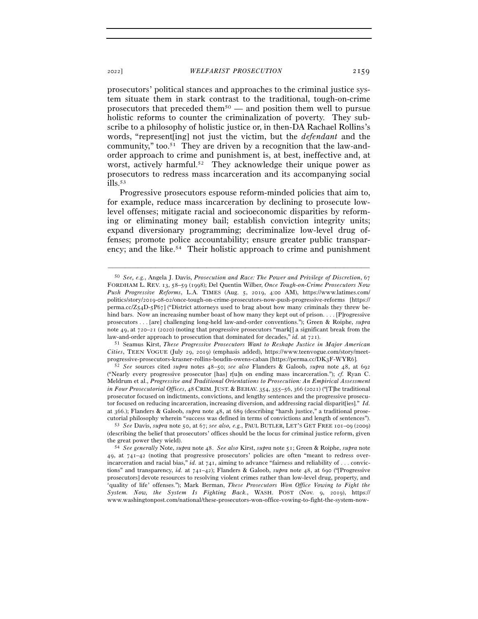prosecutors' political stances and approaches to the criminal justice system situate them in stark contrast to the traditional, tough-on-crime prosecutors that preceded them<sup> $50$ </sup> — and position them well to pursue holistic reforms to counter the criminalization of poverty. They subscribe to a philosophy of holistic justice or, in then-DA Rachael Rollins's words, "represent[ing] not just the victim, but the *defendant* and the community," too.51 They are driven by a recognition that the law-andorder approach to crime and punishment is, at best, ineffective and, at worst, actively harmful.<sup>52</sup> They acknowledge their unique power as prosecutors to redress mass incarceration and its accompanying social ills.53

Progressive prosecutors espouse reform-minded policies that aim to, for example, reduce mass incarceration by declining to prosecute lowlevel offenses; mitigate racial and socioeconomic disparities by reforming or eliminating money bail; establish conviction integrity units; expand diversionary programming; decriminalize low-level drug offenses; promote police accountability; ensure greater public transparency; and the like.<sup>54</sup> Their holistic approach to crime and punishment

<sup>50</sup> *See, e.g.*, Angela J. Davis, *Prosecution and Race: The Power and Privilege of Discretion*, 67 FORDHAM L. REV. 13, 58–59 (1998); Del Quentin Wilber, *Once Tough-on-Crime Prosecutors Now Push Progressive Reforms*, L.A. TIMES (Aug. 5, 2019, 4:00 AM), https://www.latimes.com/ politics/story/2019-08-02/once-tough-on-crime-prosecutors-now-push-progressive-reforms [https:// perma.cc/Z54D-5P67] ("District attorneys used to brag about how many criminals they threw behind bars. Now an increasing number boast of how many they kept out of prison. . . . [P]rogressive prosecutors . . . [are] challenging long-held law-and-order conventions."); Green & Roiphe, *supra* note 49, at 720–21 (2020) (noting that progressive prosecutors "mark[] a significant break from the law-and-order approach to prosecution that dominated for decades," *id.* at <sup>721</sup>). 51 Seamus Kirst, *These Progressive Prosecutors Want to Reshape Justice in Major American* 

*Cities*, TEEN VOGUE (July 29, 2019) (emphasis added), https://www.teenvogue.com/story/meet-

progressive-prosecutors-krasner-rollins-boudin-owens-caban [https://perma.cc/DK3F-WYR<sup>6</sup>]. 52 *See* sources cited *supra* notes 48–50; *see also* Flanders & Galoob, *supra* note 48, at <sup>692</sup> ("Nearly every progressive prosecutor [has] r[u]n on ending mass incarceration."); *cf.* Ryan C. Meldrum et al., *Progressive and Traditional Orientations to Prosecution: An Empirical Assessment in Four Prosecutorial Offices*, 48 CRIM. JUST. & BEHAV. 354, 355–56, 366 (2021) ("[T]he traditional prosecutor focused on indictments, convictions, and lengthy sentences and the progressive prosecutor focused on reducing incarceration, increasing diversion, and addressing racial disparit[ies]." *Id.* at 366.); Flanders & Galoob, *supra* note 48, at 689 (describing "harsh justice," a traditional prose-

cutorial philosophy wherein "success was defined in terms of convictions and length of sentences"). 53 *See* Davis, *supra* note 50, at 67; *see also, e.g.*, PAUL BUTLER, LET'S GET FREE 101–<sup>09</sup> (2009) (describing the belief that prosecutors' offices should be the locus for criminal justice reform, given

the great power they wield). 54 *See generally* Note, *supra* note 48. *See also* Kirst, *supra* note 51; Green & Roiphe, *supra* note 49, at 741–42 (noting that progressive prosecutors' policies are often "meant to redress overincarceration and racial bias," *id.* at 741, aiming to advance "fairness and reliability of . . . convictions" and transparency, *id.* at 741–42); Flanders & Galoob, *supra* note 48, at 690 ("[Progressive prosecutors] devote resources to resolving violent crimes rather than low-level drug, property, and 'quality of life' offenses."); Mark Berman, *These Prosecutors Won Office Vowing to Fight the System. Now, the System Is Fighting Back.*, WASH. POST (Nov. 9, 2019), https:// www.washingtonpost.com/national/these-prosecutors-won-office-vowing-to-fight-the-system-now-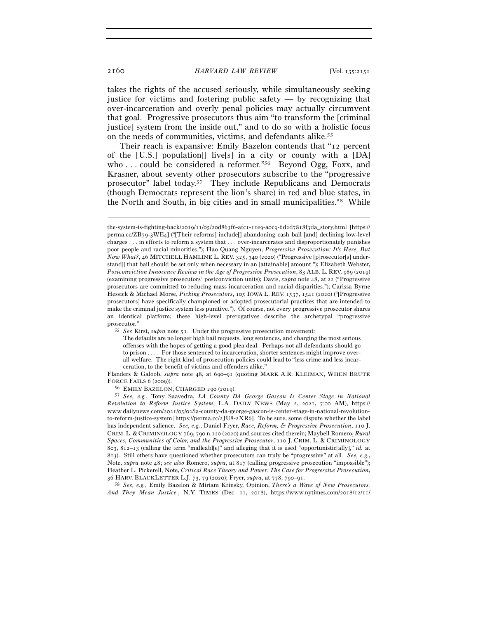takes the rights of the accused seriously, while simultaneously seeking justice for victims and fostering public safety  $-$  by recognizing that over-incarceration and overly penal policies may actually circumvent that goal. Progressive prosecutors thus aim "to transform the [criminal justice] system from the inside out," and to do so with a holistic focus on the needs of communities, victims, and defendants alike.55

Their reach is expansive: Emily Bazelon contends that "12 percent of the [U.S.] population[] live[s] in a city or county with a [DA] who ... could be considered a reformer.<sup>"56</sup> Beyond Ogg, Foxx, and Krasner, about seventy other prosecutors subscribe to the "progressive prosecutor" label today.57 They include Republicans and Democrats (though Democrats represent the lion's share) in red and blue states, in the North and South, in big cities and in small municipalities.58 While

–––––––––––––––––––––––––––––––––––––––––––––––––––––––––––––

Flanders & Galoob, *supra* note 48, at 690–91 (quoting MARK A.R. KLEIMAN, WHEN BRUTE FORCE FAILS <sup>6</sup> (<sup>2009</sup>)). 56 EMILY BAZELON, CHARGED <sup>290</sup> (<sup>2019</sup>). 57 *See, e.g.*, Tony Saavedra, *LA County DA George Gascon Is Center Stage in National* 

*Revolution to Reform Justice System*, L.A. DAILY NEWS (May 2, 2021, 7:00 AM), https:// www.dailynews.com/2021/05/02/la-county-da-george-gascon-is-center-stage-in-national-revolutionto-reform-justice-system [https://perma.cc/2JU8-2XR6]. To be sure, some dispute whether the label has independent salience. *See, e.g.*, Daniel Fryer, *Race, Reform, & Progressive Prosecution*, 110 J. CRIM. L. & CRIMINOLOGY 769, 790 n.120 (2020) and sources cited therein; Maybell Romero, *Rural Spaces, Communities of Color, and the Progressive Prosecutor*, 110 J. CRIM. L. & CRIMINOLOGY 803, 812–13 (calling the term "malleabl[e]" and alleging that it is used "opportunistic[ally]," *id.* at 813). Still others have questioned whether prosecutors can truly be "progressive" at all. *See, e.g.*, Note, *supra* note 48; *see also* Romero, *supra*, at 817 (calling progressive prosecution "impossible"); Heather L. Pickerell, Note, *Critical Race Theory and Power: The Case for Progressive Prosecution*,

<sup>36</sup> HARV. BLACKLETTER L.J. 73, 79 (2020); Fryer, *supra*, at 778, 790–<sup>91</sup>. 58 *See, e.g.*, Emily Bazelon & Miriam Krinsky, Opinion, *There's a Wave of New Prosecutors. And They Mean Justice.*, N.Y. TIMES (Dec. 11, 2018), https://www.nytimes.com/2018/12/11/

the-system-is-fighting-back/2019/11/05/20d863f6-afc1-11e9-a0c9-6d2d7818f3da\_story.html [https:// perma.cc/ZB79-3WE4] ("[Their reforms] include[] abandoning cash bail [and] declining low-level charges . . . in efforts to reform a system that . . . over-incarcerates and disproportionately punishes poor people and racial minorities."); Hao Quang Nguyen, *Progressive Prosecution: It's Here, But Now What?*, 46 MITCHELL HAMLINE L. REV. 325, 340 (2020) ("Progressive [p]rosecutor[s] understand[] that bail should be set only when necessary in an [attainable] amount."); Elizabeth Webster, *Postconviction Innocence Review in the Age of Progressive Prosecution*, 83 ALB. L. REV. 989 (2019) (examining progressive prosecutors' postconviction units); Davis, *supra* note 48, at 22 ("Progressive prosecutors are committed to reducing mass incarceration and racial disparities."); Carissa Byrne Hessick & Michael Morse, *Picking Prosecutors*, 105 IOWA L. REV. 1537, 1541 (2020) ("[Progressive prosecutors] have specifically championed or adopted prosecutorial practices that are intended to make the criminal justice system less punitive."). Of course, not every progressive prosecutor shares an identical platform; these high-level prerogatives describe the archetypal "progressive prosecutor." 55 *See* Kirst, *supra* note 51. Under the progressive prosecution movement:

The defaults are no longer high bail requests, long sentences, and charging the most serious offenses with the hopes of getting a good plea deal. Perhaps not all defendants should go to prison . . . . For those sentenced to incarceration, shorter sentences might improve overall welfare. The right kind of prosecution policies could lead to "less crime and less incarceration, to the benefit of victims and offenders alike."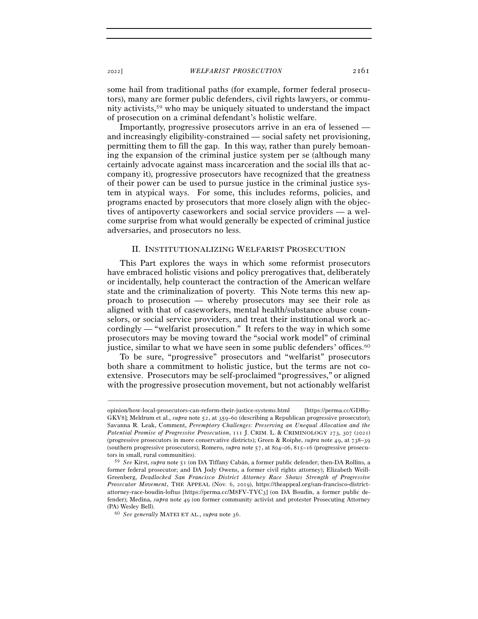some hail from traditional paths (for example, former federal prosecutors), many are former public defenders, civil rights lawyers, or community activists,59 who may be uniquely situated to understand the impact of prosecution on a criminal defendant's holistic welfare.

Importantly, progressive prosecutors arrive in an era of lessened and increasingly eligibility-constrained — social safety net provisioning, permitting them to fill the gap. In this way, rather than purely bemoaning the expansion of the criminal justice system per se (although many certainly advocate against mass incarceration and the social ills that accompany it), progressive prosecutors have recognized that the greatness of their power can be used to pursue justice in the criminal justice system in atypical ways. For some, this includes reforms, policies, and programs enacted by prosecutors that more closely align with the objectives of antipoverty caseworkers and social service providers — a welcome surprise from what would generally be expected of criminal justice adversaries, and prosecutors no less.

## II. INSTITUTIONALIZING WELFARIST PROSECUTION

This Part explores the ways in which some reformist prosecutors have embraced holistic visions and policy prerogatives that, deliberately or incidentally, help counteract the contraction of the American welfare state and the criminalization of poverty. This Note terms this new approach to prosecution — whereby prosecutors may see their role as aligned with that of caseworkers, mental health/substance abuse counselors, or social service providers, and treat their institutional work accordingly — "welfarist prosecution." It refers to the way in which some prosecutors may be moving toward the "social work model" of criminal justice, similar to what we have seen in some public defenders' offices.<sup>60</sup>

To be sure, "progressive" prosecutors and "welfarist" prosecutors both share a commitment to holistic justice, but the terms are not coextensive. Prosecutors may be self-proclaimed "progressives," or aligned with the progressive prosecution movement, but not actionably welfarist

opinion/how-local-prosecutors-can-reform-their-justice-systems.html [https://perma.cc/GDB9- GKV8]; Meldrum et al., *supra* note 52, at 359–60 (describing a Republican progressive prosecutor); Savanna R. Leak, Comment, *Peremptory Challenges: Preserving an Unequal Allocation and the Potential Promise of Progressive Prosecution*, 111 J. CRIM. L. & CRIMINOLOGY 273, 307 (2021) (progressive prosecutors in more conservative districts); Green & Roiphe, *supra* note 49, at 738–39 (southern progressive prosecutors); Romero, *supra* note 57, at 804–06, 815–16 (progressive prosecutors in small, rural communities).

<sup>59</sup> *See* Kirst, *supra* note 51 (on DA Tiffany Cabán, a former public defender; then-DA Rollins, a former federal prosecutor; and DA Jody Owens, a former civil rights attorney); Elizabeth Weill-Greenberg, *Deadlocked San Francisco District Attorney Race Shows Strength of Progressive Prosecutor Movement*, THE APPEAL (Nov. 6, 2019), https://theappeal.org/san-francisco-districtattorney-race-boudin-loftus [https://perma.cc/M8FV-TYC3] (on DA Boudin, a former public defender); Medina, *supra* note 49 (on former community activist and protester Prosecuting Attorney (PA) Wesley Bell). 60 *See generally* MATEI ET AL., *supra* note 36.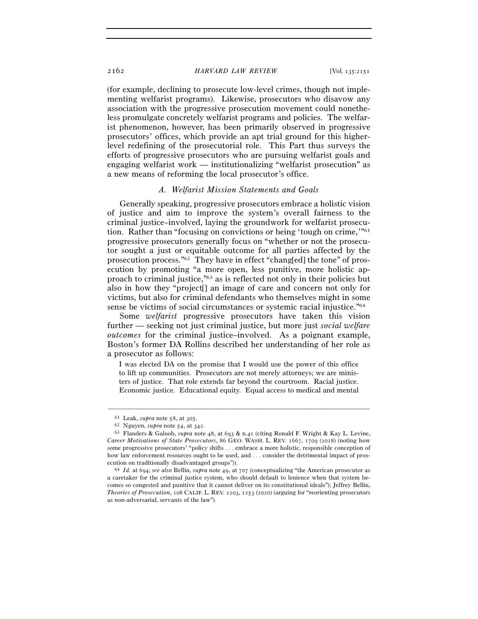(for example, declining to prosecute low-level crimes, though not implementing welfarist programs). Likewise, prosecutors who disavow any association with the progressive prosecution movement could nonetheless promulgate concretely welfarist programs and policies. The welfarist phenomenon, however, has been primarily observed in progressive prosecutors' offices, which provide an apt trial ground for this higherlevel redefining of the prosecutorial role. This Part thus surveys the efforts of progressive prosecutors who are pursuing welfarist goals and engaging welfarist work — institutionalizing "welfarist prosecution" as a new means of reforming the local prosecutor's office.

#### *A. Welfarist Mission Statements and Goals*

Generally speaking, progressive prosecutors embrace a holistic vision of justice and aim to improve the system's overall fairness to the criminal justice–involved, laying the groundwork for welfarist prosecution. Rather than "focusing on convictions or being 'tough on crime,'"61 progressive prosecutors generally focus on "whether or not the prosecutor sought a just or equitable outcome for all parties affected by the prosecution process."62 They have in effect "chang[ed] the tone" of prosecution by promoting "a more open, less punitive, more holistic approach to criminal justice,"63 as is reflected not only in their policies but also in how they "project[] an image of care and concern not only for victims, but also for criminal defendants who themselves might in some sense be victims of social circumstances or systemic racial injustice."64

Some *welfarist* progressive prosecutors have taken this vision further — seeking not just criminal justice, but more just *social welfare outcomes* for the criminal justice–involved. As a poignant example, Boston's former DA Rollins described her understanding of her role as a prosecutor as follows:

I was elected DA on the promise that I would use the power of this office to lift up communities. Prosecutors are not merely attorneys; we are ministers of justice. That role extends far beyond the courtroom. Racial justice. Economic justice. Educational equity. Equal access to medical and mental

<sup>61</sup> Leak, *supra* note 58, at <sup>305</sup>. 62 Nguyen, *supra* note 54, at <sup>342</sup>. 63 Flanders & Galoob, *supra* note 48, at 693 & n.41 (citing Ronald F. Wright & Kay L. Levine, *Career Motivations of State Prosecutors*, 86 GEO. WASH. L. REV. 1667, 1709 (2018) (noting how some progressive prosecutors' "policy shifts . . . embrace a more holistic, responsible conception of how law enforcement resources ought to be used, and . . . consider the detrimental impact of prosecution on traditionally disadvantaged groups")).

<sup>&</sup>lt;sup>64</sup> Id. at 694; see also Bellin, *supra* note 49, at 707 (conceptualizing "the American prosecutor as a caretaker for the criminal justice system, who should default to lenience when that system becomes so congested and punitive that it cannot deliver on its constitutional ideals"); Jeffrey Bellin, *Theories of Prosecution*, 108 CALIF. L. REV. 1203, 1253 (2020) (arguing for "reorienting prosecutors as non-adversarial, servants of the law").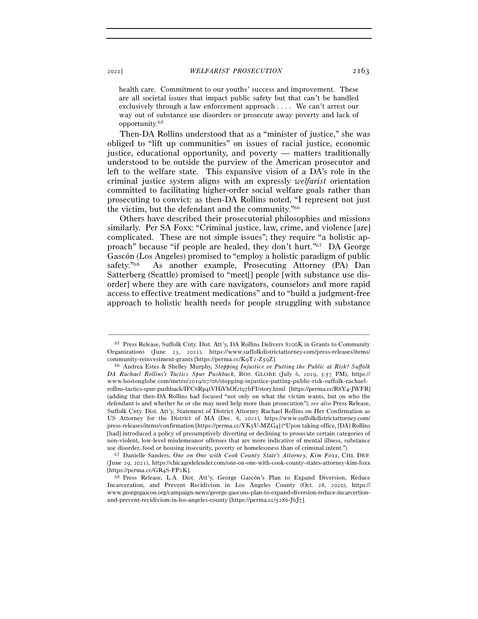health care. Commitment to our youths' success and improvement. These are all societal issues that impact public safety but that can't be handled exclusively through a law enforcement approach . . . . We can't arrest our way out of substance use disorders or prosecute away poverty and lack of opportunity.65

Then-DA Rollins understood that as a "minister of justice," she was obliged to "lift up communities" on issues of racial justice, economic justice, educational opportunity, and poverty — matters traditionally understood to be outside the purview of the American prosecutor and left to the welfare state. This expansive vision of a DA's role in the criminal justice system aligns with an expressly *welfarist* orientation committed to facilitating higher-order social welfare goals rather than prosecuting to convict: as then-DA Rollins noted, "I represent not just the victim, but the defendant and the community."66

Others have described their prosecutorial philosophies and missions similarly. Per SA Foxx: "Criminal justice, law, crime, and violence [are] complicated. These are not simple issues"; they require "a holistic approach" because "if people are healed, they don't hurt."67 DA George Gascón (Los Angeles) promised to "employ a holistic paradigm of public safety."<sup>68</sup> As another example, Prosecuting Attorney (PA) Dan Satterberg (Seattle) promised to "meet[] people [with substance use disorder] where they are with care navigators, counselors and more rapid access to effective treatment medications" and to "build a judgment-free approach to holistic health needs for people struggling with substance

–––––––––––––––––––––––––––––––––––––––––––––––––––––––––––––

<sup>67</sup> Danielle Sanders, One on One with Cook County State's Attorney, Kim Foxx, CHI. DEF. (June 29, 2021), https://chicagodefender.com/one-on-one-with-cook-county-states-attorney-kim-foxx [https://perma.cc/GR4S-FP<sup>2</sup>K]. 68 Press Release, L.A. Dist. Att'y, George Gascón's Plan to Expand Diversion, Reduce

<sup>65</sup> Press Release, Suffolk Cnty. Dist. Att'y, DA Rollins Delivers \$200K in Grants to Community Organizations (June 23, 2021), https://www.suffolkdistrictattorney.com/press-releases/items/ community-reinvestment-grants [https://perma.cc/K9T2-Z<sup>59</sup>Z]. 66 Andrea Estes & Shelley Murphy, *Stopping Injustice or Putting the Public at Risk? Suffolk* 

*DA Rachael Rollins's Tactics Spur Pushback*, BOS. GLOBE (July 6, 2019, 5:57 PM), https:// www.bostonglobe.com/metro/2019/07/06/stopping-injustice-putting-public-risk-suffolk-rachaelrollins-tactics-spur-pushback/IFC6Rp4tVHiVhOf2t97bFI/story.html [https://perma.cc/R8Y4-JWFR] (adding that then-DA Rollins had focused "not only on what the victim wants, but on who the defendant is and whether he or she may need help more than prosecution"); *see also* Press Release, Suffolk Cnty. Dist. Att'y, Statement of District Attorney Rachael Rollins on Her Confirmation as US Attorney for the District of MA (Dec. 8, 2021), https://www.suffolkdistrictattorney.com/ press-releases/items/confirmation [https://perma.cc/YK5U-MZG4] ("Upon taking office, [DA] Rollins [had] introduced a policy of presumptively diverting or declining to prosecute certain categories of non-violent, low-level misdemeanor offenses that are more indicative of mental illness, substance use disorder, food or housing insecurity, poverty or homelessness than of criminal intent.").

Incarceration, and Prevent Recidivism in Los Angeles County (Oct. 28, 2020), https:// www.georgegascon.org/campaign-news/george-gascons-plan-to-expand-diversion-reduce-incarcertionand-prevent-recidivism-in-los-angeles-county [https://perma.cc/5286-J6J7].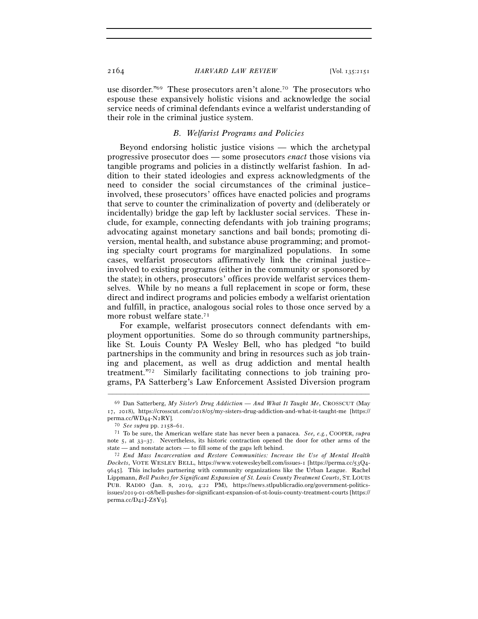use disorder."69 These prosecutors aren't alone.70 The prosecutors who espouse these expansively holistic visions and acknowledge the social service needs of criminal defendants evince a welfarist understanding of their role in the criminal justice system.

## *B. Welfarist Programs and Policies*

Beyond endorsing holistic justice visions — which the archetypal progressive prosecutor does — some prosecutors *enact* those visions via tangible programs and policies in a distinctly welfarist fashion. In addition to their stated ideologies and express acknowledgments of the need to consider the social circumstances of the criminal justice– involved, these prosecutors' offices have enacted policies and programs that serve to counter the criminalization of poverty and (deliberately or incidentally) bridge the gap left by lackluster social services. These include, for example, connecting defendants with job training programs; advocating against monetary sanctions and bail bonds; promoting diversion, mental health, and substance abuse programming; and promoting specialty court programs for marginalized populations. In some cases, welfarist prosecutors affirmatively link the criminal justice– involved to existing programs (either in the community or sponsored by the state); in others, prosecutors' offices provide welfarist services themselves. While by no means a full replacement in scope or form, these direct and indirect programs and policies embody a welfarist orientation and fulfill, in practice, analogous social roles to those once served by a more robust welfare state.<sup>71</sup>

For example, welfarist prosecutors connect defendants with employment opportunities. Some do so through community partnerships, like St. Louis County PA Wesley Bell, who has pledged "to build partnerships in the community and bring in resources such as job training and placement, as well as drug addiction and mental health treatment."72 Similarly facilitating connections to job training programs, PA Satterberg's Law Enforcement Assisted Diversion program

<sup>69</sup> Dan Satterberg, *My Sister's Drug Addiction — And What It Taught Me*, CROSSCUT (May 17, 2018), https://crosscut.com/2018/05/my-sisters-drug-addiction-and-what-it-taught-me [https://

perma.cc/WD44-N<sup>2</sup>RY]. 70 *See supra* pp. 2158–61. 71 To be sure, the American welfare state has never been a panacea. *See, e.g.*, COOPER, *supra* note 5, at 33–37. Nevertheless, its historic contraction opened the door for other arms of the

state — and nonstate actors — to fill some of the gaps left behind. 72 *End Mass Incarceration and Restore Communities: Increase the Use of Mental Health Dockets*, VOTE WESLEY BELL, https://www.votewesleybell.com/issues-1 [https://perma.cc/53Q4- 9645]. This includes partnering with community organizations like the Urban League. Rachel Lippmann, *Bell Pushes for Significant Expansion of St. Louis County Treatment Courts*, ST. LOUIS PUB. RADIO (Jan. 8, 2019, 4:22 PM), https://news.stlpublicradio.org/government-politicsissues/2019-01-08/bell-pushes-for-significant-expansion-of-st-louis-county-treatment-courts [https:// perma.cc/D42J-Z8Y9].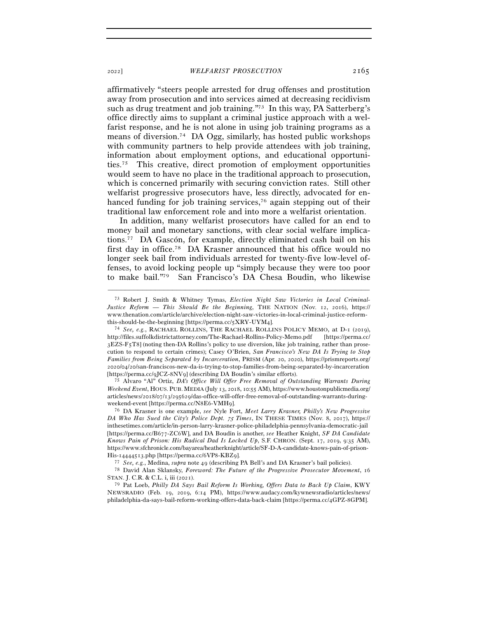affirmatively "steers people arrested for drug offenses and prostitution away from prosecution and into services aimed at decreasing recidivism such as drug treatment and job training."73 In this way, PA Satterberg's office directly aims to supplant a criminal justice approach with a welfarist response, and he is not alone in using job training programs as a means of diversion.74 DA Ogg, similarly, has hosted public workshops with community partners to help provide attendees with job training, information about employment options, and educational opportunities.75 This creative, direct promotion of employment opportunities would seem to have no place in the traditional approach to prosecution, which is concerned primarily with securing conviction rates. Still other welfarist progressive prosecutors have, less directly, advocated for enhanced funding for job training services,<sup>76</sup> again stepping out of their traditional law enforcement role and into more a welfarist orientation.

In addition, many welfarist prosecutors have called for an end to money bail and monetary sanctions, with clear social welfare implications.77 DA Gascón, for example, directly eliminated cash bail on his first day in office.78 DA Krasner announced that his office would no longer seek bail from individuals arrested for twenty-five low-level offenses, to avoid locking people up "simply because they were too poor to make bail."79 San Francisco's DA Chesa Boudin, who likewise

–––––––––––––––––––––––––––––––––––––––––––––––––––––––––––––

*Weekend Event*, HOUS. PUB. MEDIA (July 13, 2018, 10:55 AM), https://www.houstonpublicmedia.org/ articles/news/2018/07/13/295629/das-office-will-offer-free-removal-of-outstanding-warrants-duringweekend-event [https://perma.cc/N8E6-VMH<sup>9</sup>]. 76 DA Krasner is one example, *see* Nyle Fort, *Meet Larry Krasner, Philly's New Progressive* 

*DA Who Has Sued the City's Police Dept.* 75 *Times*, IN THESE TIMES (Nov. 8, 2017), https:// inthesetimes.com/article/in-person-larry-krasner-police-philadelphia-pennsylvania-democratic-jail [https://perma.cc/B677-ZC6W], and DA Boudin is another, *see* Heather Knight, *SF DA Candidate Knows Pain of Prison: His Radical Dad Is Locked Up*, S.F. CHRON. (Sept. 17, 2019, 9:35 AM), https://www.sfchronicle.com/bayarea/heatherknight/article/SF-D-A-candidate-knows-pain-of-prison-His-14444513.php [https://perma.cc/6VP8-KBZ9].<br><sup>77</sup> See, e.g., Medina, *supra* note 49 (describing PA Bell's and DA Krasner's bail policies).<br><sup>78</sup> David Alan Sklansky, *Foreword: The Future of the Progressive Prosecutor Mo* 

STAN. J. C.R. & C.L. i, iii (2021).

79 Pat Loeb, *Philly DA Says Bail Reform Is Working, Offers Data to Back Up Claim*, KWY NEWSRADIO (Feb. 19, 2019, 6:14 PM), https://www.audacy.com/kywnewsradio/articles/news/ philadelphia-da-says-bail-reform-working-offers-data-back-claim [https://perma.cc/4GPZ-8GPM].

<sup>73</sup> Robert J. Smith & Whitney Tymas, *Election Night Saw Victories in Local Criminal-Justice Reform — This Should Be the Beginning*, THE NATION (Nov. 12, 2016), https:// www.thenation.com/article/archive/election-night-saw-victories-in-local-criminal-justice-reform-

this-should-be-the-beginning [https://perma.cc/5XRY-UYM<sup>4</sup>]. 74 *See, e.g.*, RACHAEL ROLLINS, THE RACHAEL ROLLINS POLICY MEMO, at D-1 (2019), http://files.suffolkdistrictattorney.com/The-Rachael-Rollins-Policy-Memo.pdf [https://perma.cc/ 3EZS-F5T8] (noting then-DA Rollins's policy to use diversion, like job training, rather than prosecution to respond to certain crimes); Casey O'Brien, *San Francisco's New DA Is Trying to Stop Families from Being Separated by Incarceration*, PRISM (Apr. 20, 2020), https://prismreports.org/ 2020/04/20/san-franciscos-new-da-is-trying-to-stop-families-from-being-separated-by-incarceration [https://perma.cc/9JCZ-8NV<sup>9</sup>] (describing DA Boudin's similar efforts). 75 Alvaro "Al" Ortiz, *DA's Office Will Offer Free Removal of Outstanding Warrants During*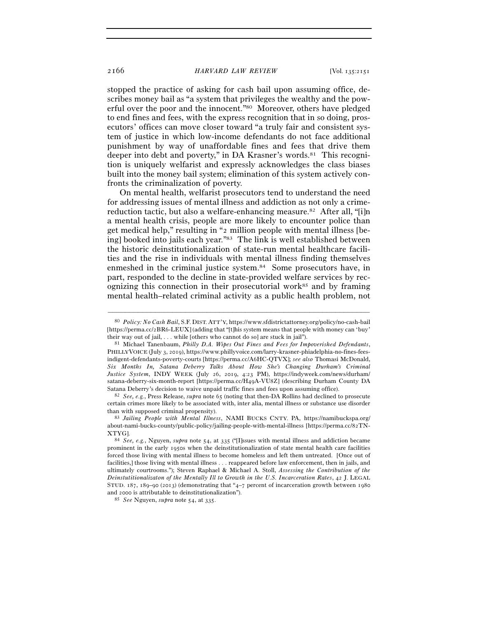stopped the practice of asking for cash bail upon assuming office, describes money bail as "a system that privileges the wealthy and the powerful over the poor and the innocent."80 Moreover, others have pledged to end fines and fees, with the express recognition that in so doing, prosecutors' offices can move closer toward "a truly fair and consistent system of justice in which low-income defendants do not face additional punishment by way of unaffordable fines and fees that drive them deeper into debt and poverty," in DA Krasner's words.<sup>81</sup> This recognition is uniquely welfarist and expressly acknowledges the class biases built into the money bail system; elimination of this system actively confronts the criminalization of poverty.

On mental health, welfarist prosecutors tend to understand the need for addressing issues of mental illness and addiction as not only a crimereduction tactic, but also a welfare-enhancing measure.<sup>82</sup> After all, "[i]n a mental health crisis, people are more likely to encounter police than get medical help," resulting in "2 million people with mental illness [being] booked into jails each year."83 The link is well established between the historic deinstitutionalization of state-run mental healthcare facilities and the rise in individuals with mental illness finding themselves enmeshed in the criminal justice system.84 Some prosecutors have, in part, responded to the decline in state-provided welfare services by recognizing this connection in their prosecutorial work<sup>85</sup> and by framing mental health–related criminal activity as a public health problem, not

–––––––––––––––––––––––––––––––––––––––––––––––––––––––––––––

Satana Deberry's decision to waive unpaid traffic fines and fees upon assuming office). 82 *See, e.g.*, Press Release, *supra* note 65 (noting that then-DA Rollins had declined to prosecute certain crimes more likely to be associated with, inter alia, mental illness or substance use disorder than with supposed criminal propensity). 83 *Jailing People with Mental Illness*, NAMI BUCKS CNTY. PA, https://namibuckspa.org/

<sup>80</sup> *Policy: No Cash Bail*, S.F. DIST. ATT'Y, https://www.sfdistrictattorney.org/policy/no-cash-bail [https://perma.cc/2BR6-LEUX] (adding that "[t]his system means that people with money can 'buy' their way out of jail, . . . while [others who cannot do so] are stuck in jail"). 81 Michael Tanenbaum, *Philly D.A. Wipes Out Fines and Fees for Impoverished Defendants*,

PHILLYVOICE (July 3, 2019), https://www.phillyvoice.com/larry-krasner-phiadelphia-no-fines-feesindigent-defendants-poverty-courts [https://perma.cc/A6HC-QTVX]; *see also* Thomasi McDonald, *Six Months In, Satana Deberry Talks About How She's Changing Durham's Criminal Justice System*, INDY WEEK (July 26, 2019, 4:23 PM), https://indyweek.com/news/durham/ satana-deberry-six-month-report [https://perma.cc/H49A-VU8Z] (describing Durham County DA

about-nami-bucks-county/public-policy/jailing-people-with-mental-illness [https://perma.cc/82TN-XTYG]. 84 *See, e.g.*, Nguyen, *supra* note 54, at 335 ("[I]ssues with mental illness and addiction became

prominent in the early 1950s when the deinstitutionalization of state mental health care facilities forced those living with mental illness to become homeless and left them untreated. [Once out of facilities,] those living with mental illness . . . reappeared before law enforcement, then in jails, and ultimately courtrooms."); Steven Raphael & Michael A. Stoll, *Assessing the Contribution of the Deinstutitionalizaton of the Mentally Ill to Growth in the U.S. Incarceration Rates*, 42 J. LEGAL STUD. 187, 189–90 (2013) (demonstrating that "4–7 percent of incarceration growth between 1980 and <sup>2000</sup> is attributable to deinstitutionalization"). 85 *See* Nguyen, *supra* note 54, at 335.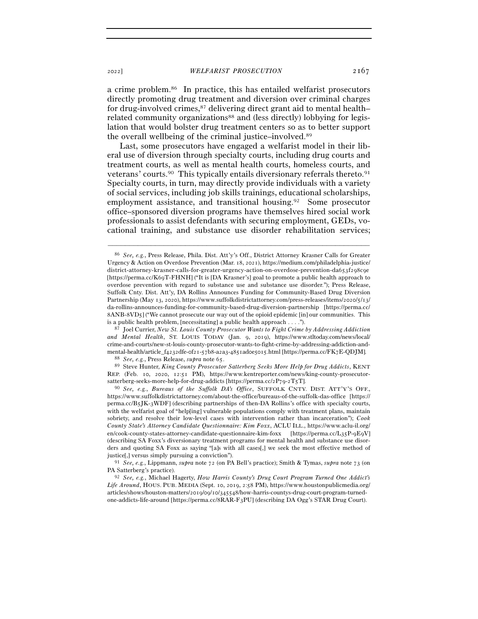a crime problem.86 In practice, this has entailed welfarist prosecutors directly promoting drug treatment and diversion over criminal charges for drug-involved crimes,87 delivering direct grant aid to mental health– related community organizations<sup>88</sup> and (less directly) lobbying for legislation that would bolster drug treatment centers so as to better support the overall wellbeing of the criminal justice–involved.89

Last, some prosecutors have engaged a welfarist model in their liberal use of diversion through specialty courts, including drug courts and treatment courts, as well as mental health courts, homeless courts, and veterans' courts.<sup>90</sup> This typically entails diversionary referrals thereto.<sup>91</sup> Specialty courts, in turn, may directly provide individuals with a variety of social services, including job skills trainings, educational scholarships, employment assistance, and transitional housing.92 Some prosecutor office–sponsored diversion programs have themselves hired social work professionals to assist defendants with securing employment, GEDs, vocational training, and substance use disorder rehabilitation services;

–––––––––––––––––––––––––––––––––––––––––––––––––––––––––––––

*and Mental Health*, ST. LOUIS TODAY (Jan. 9, 2019), https://www.stltoday.com/news/local/ crime-and-courts/new-st-louis-county-prosecutor-wants-to-fight-crime-by-addressing-addiction-and- $\label{lem:main} \begin{array}{ll} \mbox{mental-health/article\_f4232dfe-of21-57b8-aza3-4851adoe5o15.html [https://permacc/FK7E-QDJM].}\\ \mbox{~~$88\, \,See,\, e.g., Press\, Release,\,supra\, note\, 65.}\\ \mbox{~~$89\, \, Steve\, Hunter,\, King\, Country\, Postator\, Satterberg\, Seeks\, More\, Help for\, Drug\, Addicts,\, KENT\\ \end{array}$ 

REP. (Feb. 10, 2020, 12:51 PM), https://www.kentreporter.com/news/king-county-prosecutorsatterberg-seeks-more-help-for-drug-addicts [https://perma.cc/2P79-2T5T].

90 *See, e.g.*, *Bureaus of the Suffolk DA's Office*, SUFFOLK CNTY. DIST. ATT'Y'S OFF., https://www.suffolkdistrictattorney.com/about-the-office/bureaus-of-the-suffolk-das-office [https:// perma.cc/B5JK-3WDF] (describing partnerships of then-DA Rollins's office with specialty courts, with the welfarist goal of "help[ing] vulnerable populations comply with treatment plans, maintain sobriety, and resolve their low-level cases with intervention rather than incarceration"); *Cook County State's Attorney Candidate Questionnaire: Kim Foxx*, ACLU ILL., https://www.aclu-il.org/ en/cook-county-states-attorney-candidate-questionnaire-kim-foxx [https://perma.cc/L35P-9E9V] (describing SA Foxx's diversionary treatment programs for mental health and substance use disorders and quoting SA Foxx as saying "[a]s with all cases[,] we seek the most effective method of

justice[,] versus simply pursuing a conviction"). 91 *See, e.g.*, Lippmann, *supra* note 72 (on PA Bell's practice); Smith & Tymas, *supra* note 73 (on PA Satterberg's practice). 92 *See, e.g.*, Michael Hagerty, *How Harris County's Drug Court Program Turned One Addict's* 

*Life Around*, HOUS. PUB. MEDIA (Sept. 10, 2019, 2:58 PM), https://www.houstonpublicmedia.org/ articles/shows/houston-matters/2019/09/10/345548/how-harris-countys-drug-court-program-turnedone-addicts-life-around [https://perma.cc/8RAR-F3PU] (describing DA Ogg's STAR Drug Court).

<sup>86</sup> *See, e.g.*, Press Release, Phila. Dist. Att'y's Off., District Attorney Krasner Calls for Greater Urgency & Action on Overdose Prevention (Mar. 18, 2021), https://medium.com/philadelphia-justice/ district-attorney-krasner-calls-for-greater-urgency-action-on-overdose-prevention-da653f298c9e [https://perma.cc/K69T-FHNH] ("It is [DA Krasner's] goal to promote a public health approach to overdose prevention with regard to substance use and substance use disorder."); Press Release, Suffolk Cnty. Dist. Att'y, DA Rollins Announces Funding for Community-Based Drug Diversion Partnership (May 13, 2020), https://www.suffolkdistrictattorney.com/press-releases/items/2020/5/13/ da-rollins-announces-funding-for-community-based-drug-diversion-partnership [https://perma.cc/ 8ANB-8VD5] ("We cannot prosecute our way out of the opioid epidemic [in] our communities. This is a public health problem, [necessitating] a public health approach . . . ."). 87 Joel Currier, *New St. Louis County Prosecutor Wants to Fight Crime by Addressing Addiction*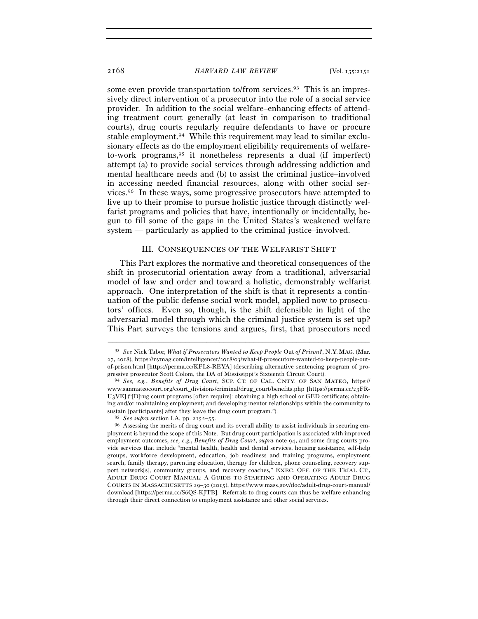some even provide transportation to/from services.<sup>93</sup> This is an impressively direct intervention of a prosecutor into the role of a social service provider. In addition to the social welfare–enhancing effects of attending treatment court generally (at least in comparison to traditional courts), drug courts regularly require defendants to have or procure stable employment.94 While this requirement may lead to similar exclusionary effects as do the employment eligibility requirements of welfareto-work programs,95 it nonetheless represents a dual (if imperfect) attempt (a) to provide social services through addressing addiction and mental healthcare needs and (b) to assist the criminal justice–involved in accessing needed financial resources, along with other social services.96 In these ways, some progressive prosecutors have attempted to live up to their promise to pursue holistic justice through distinctly welfarist programs and policies that have, intentionally or incidentally, begun to fill some of the gaps in the United States's weakened welfare system — particularly as applied to the criminal justice–involved.

### III. CONSEQUENCES OF THE WELFARIST SHIFT

This Part explores the normative and theoretical consequences of the shift in prosecutorial orientation away from a traditional, adversarial model of law and order and toward a holistic, demonstrably welfarist approach. One interpretation of the shift is that it represents a continuation of the public defense social work model, applied now to prosecutors' offices. Even so, though, is the shift defensible in light of the adversarial model through which the criminal justice system is set up? This Part surveys the tensions and argues, first, that prosecutors need

<sup>93</sup> *See* Nick Tabor, *What if Prosecutors Wanted to Keep People* Out *of Prison?*, N.Y. MAG. (Mar. 27, 2018), https://nymag.com/intelligencer/2018/03/what-if-prosecutors-wanted-to-keep-people-outof-prison.html [https://perma.cc/KFL8-REYA] (describing alternative sentencing program of progressive prosecutor Scott Colom, the DA of Mississippi's Sixteenth Circuit Court). 94 *See, e.g.*, *Benefits of Drug Court*, SUP. CT. OF CAL. CNTY. OF SAN MATEO, https://

www.sanmateocourt.org/court\_divisions/criminal/drug\_court/benefits.php [https://perma.cc/23FR-U3VE] ("[D]rug court programs [often require]: obtaining a high school or GED certificate; obtaining and/or maintaining employment; and developing mentor relationships within the community to sustain [participants] after they leave the drug court program.").

<sup>95</sup> *See supra* section I.A, pp. 2152–<sup>55</sup>. 96 Assessing the merits of drug court and its overall ability to assist individuals in securing employment is beyond the scope of this Note. But drug court participation is associated with improved employment outcomes, *see, e.g.*, *Benefits of Drug Court*, *supra* note 94, and some drug courts provide services that include "mental health, health and dental services, housing assistance, self-help groups, workforce development, education, job readiness and training programs, employment search, family therapy, parenting education, therapy for children, phone counseling, recovery support network[s], community groups, and recovery coaches," EXEC. OFF. OF THE TRIAL CT., ADULT DRUG COURT MANUAL: A GUIDE TO STARTING AND OPERATING ADULT DRUG COURTS IN MASSACHUSETTS 29–30 (2015), https://www.mass.gov/doc/adult-drug-court-manual/ download [https://perma.cc/S6QS-KJTB]. Referrals to drug courts can thus be welfare enhancing through their direct connection to employment assistance and other social services.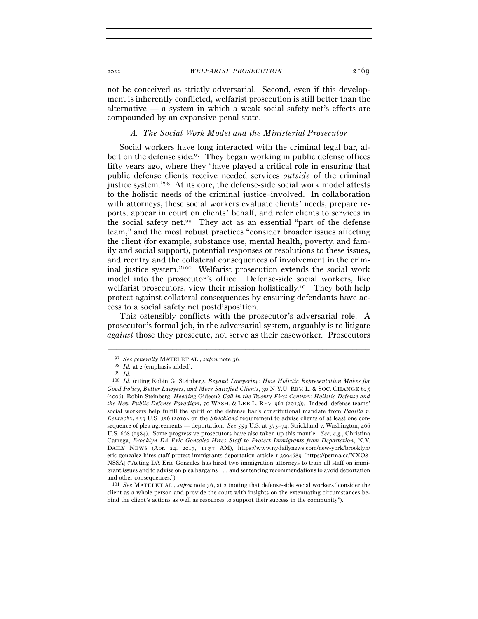not be conceived as strictly adversarial. Second, even if this development is inherently conflicted, welfarist prosecution is still better than the alternative — a system in which a weak social safety net's effects are compounded by an expansive penal state.

## *A. The Social Work Model and the Ministerial Prosecutor*

Social workers have long interacted with the criminal legal bar, albeit on the defense side.<sup>97</sup> They began working in public defense offices fifty years ago, where they "have played a critical role in ensuring that public defense clients receive needed services *outside* of the criminal justice system."98 At its core, the defense-side social work model attests to the holistic needs of the criminal justice–involved. In collaboration with attorneys, these social workers evaluate clients' needs, prepare reports, appear in court on clients' behalf, and refer clients to services in the social safety net.99 They act as an essential "part of the defense team," and the most robust practices "consider broader issues affecting the client (for example, substance use, mental health, poverty, and family and social support), potential responses or resolutions to these issues, and reentry and the collateral consequences of involvement in the criminal justice system."100 Welfarist prosecution extends the social work model into the prosecutor's office. Defense-side social workers, like welfarist prosecutors, view their mission holistically.<sup>101</sup> They both help protect against collateral consequences by ensuring defendants have access to a social safety net postdisposition.

This ostensibly conflicts with the prosecutor's adversarial role. A prosecutor's formal job, in the adversarial system, arguably is to litigate *against* those they prosecute, not serve as their caseworker. Prosecutors

<sup>97</sup> *See generally* MATEI ET AL., *supra* note <sup>36</sup>. 98 *Id.* at <sup>2</sup> (emphasis added). 99 *Id.* 

<sup>100</sup> *Id.* (citing Robin G. Steinberg, *Beyond Lawyering: How Holistic Representation Makes for Good Policy, Better Lawyers, and More Satisfied Clients*, 30 N.Y.U. REV. L. & SOC. CHANGE 625 (2006); Robin Steinberg, *Heeding* Gideon*'s Call in the Twenty-First Century: Holistic Defense and the New Public Defense Paradigm*, 70 WASH. & LEE L. REV. 961 (2013)). Indeed, defense teams' social workers help fulfill the spirit of the defense bar's constitutional mandate from *Padilla v. Kentucky*, 559 U.S. 356 (2010), on the *Strickland* requirement to advise clients of at least one consequence of plea agreements — deportation. *See* 559 U.S. at 373–74; Strickland v. Washington, 466 U.S. 668 (1984). Some progressive prosecutors have also taken up this mantle. *See, e.g.*, Christina Carrega, *Brooklyn DA Eric Gonzalez Hires Staff to Protect Immigrants from Deportation*, N.Y. DAILY NEWS (Apr. 24, 2017, 11:57 AM), https://www.nydailynews.com/new-york/brooklyn/ eric-gonzalez-hires-staff-protect-immigrants-deportation-article-1.3094689 [https://perma.cc/XXQ8- NSSA] ("Acting DA Eric Gonzalez has hired two immigration attorneys to train all staff on immigrant issues and to advise on plea bargains . . . and sentencing recommendations to avoid deportation and other consequences.").

<sup>101</sup> *See* MATEI ET AL., *supra* note 36, at 2 (noting that defense-side social workers "consider the client as a whole person and provide the court with insights on the extenuating circumstances behind the client's actions as well as resources to support their success in the community").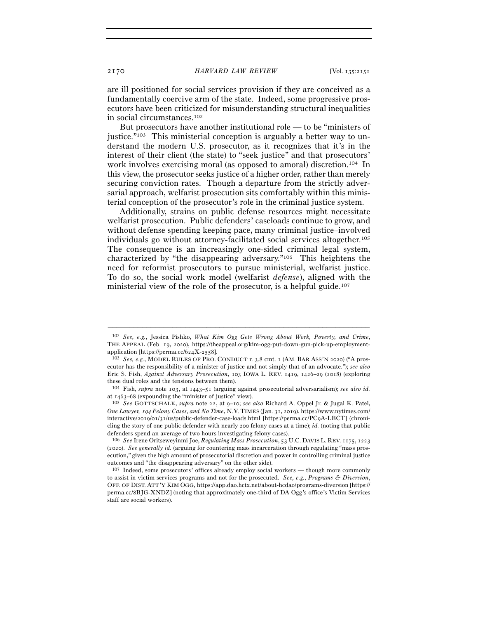are ill positioned for social services provision if they are conceived as a fundamentally coercive arm of the state. Indeed, some progressive prosecutors have been criticized for misunderstanding structural inequalities in social circumstances.102

But prosecutors have another institutional role — to be "ministers of justice."<sup>103</sup> This ministerial conception is arguably a better way to understand the modern U.S. prosecutor, as it recognizes that it's in the interest of their client (the state) to "seek justice" and that prosecutors' work involves exercising moral (as opposed to amoral) discretion.104 In this view, the prosecutor seeks justice of a higher order, rather than merely securing conviction rates. Though a departure from the strictly adversarial approach, welfarist prosecution sits comfortably within this ministerial conception of the prosecutor's role in the criminal justice system.

Additionally, strains on public defense resources might necessitate welfarist prosecution. Public defenders' caseloads continue to grow, and without defense spending keeping pace, many criminal justice–involved individuals go without attorney-facilitated social services altogether.105 The consequence is an increasingly one-sided criminal legal system, characterized by "the disappearing adversary."106 This heightens the need for reformist prosecutors to pursue ministerial, welfarist justice. To do so, the social work model (welfarist *defense*), aligned with the ministerial view of the role of the prosecutor, is a helpful guide.<sup>107</sup>

<sup>102</sup> *See, e.g.*, Jessica Pishko, *What Kim Ogg Gets Wrong About Work, Poverty, and Crime*, THE APPEAL (Feb. 19, 2020), https://theappeal.org/kim-ogg-put-down-gun-pick-up-employmentapplication [https://perma.cc/624X-<sup>2558</sup>]. 103 *See, e.g.*, MODEL RULES OF PRO. CONDUCT r. 3.8 cmt. 1 (AM. BAR ASS'N <sup>2020</sup>) ("A pros-

ecutor has the responsibility of a minister of justice and not simply that of an advocate."); *see also* Eric S. Fish, *Against Adversary Prosecution*, 103 IOWA L. REV. 1419, 1426–29 (2018) (exploring these dual roles and the tensions between them).

<sup>104</sup> Fish, *supra* note 103, at 1443–51 (arguing against prosecutorial adversarialism); *see also id.*

at 1463–<sup>68</sup> (expounding the "minister of justice" view). 105 *See* GOTTSCHALK, *supra* note 22, at 9–10; *see also* Richard A. Oppel Jr. & Jugal K. Patel, *One Lawyer,* 194 *Felony Cases, and No Time*, N.Y. TIMES (Jan. 31, 2019), https://www.nytimes.com/ interactive/2019/01/31/us/public-defender-case-loads.html [https://perma.cc/PC9A-LBCT] (chronicling the story of one public defender with nearly 200 felony cases at a time); *id.* (noting that public defenders spend an average of two hours investigating felony cases).

<sup>106</sup> *See* Irene Oritseweyinmi Joe, *Regulating Mass Prosecution*, 53 U.C. DAVIS L. REV. 1175, 1223 (2020). *See generally id.* (arguing for countering mass incarceration through regulating "mass prosecution," given the high amount of prosecutorial discretion and power in controlling criminal justice outcomes and "the disappearing adversary" on the other side).

<sup>107</sup> Indeed, some prosecutors' offices already employ social workers — though more commonly to assist in victim services programs and not for the prosecuted. *See, e.g.*, *Programs & Diversion*, OFF. OF DIST. ATT'Y KIM OGG, https://app.dao.hctx.net/about-hcdao/programs-diversion [https:// perma.cc/8BJG-XNDZ] (noting that approximately one-third of DA Ogg's office's Victim Services staff are social workers).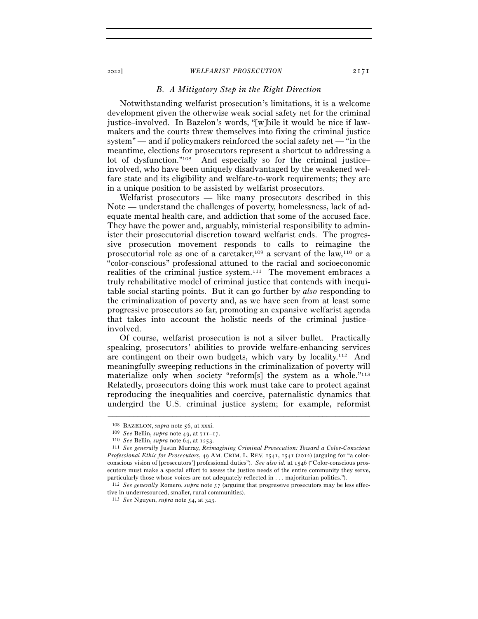## *B. A Mitigatory Step in the Right Direction*

Notwithstanding welfarist prosecution's limitations, it is a welcome development given the otherwise weak social safety net for the criminal justice–involved. In Bazelon's words, "[w]hile it would be nice if lawmakers and the courts threw themselves into fixing the criminal justice system" — and if policymakers reinforced the social safety net — "in the meantime, elections for prosecutors represent a shortcut to addressing a lot of dysfunction."<sup>108</sup> And especially so for the criminal justice– involved, who have been uniquely disadvantaged by the weakened welfare state and its eligibility and welfare-to-work requirements; they are in a unique position to be assisted by welfarist prosecutors.

Welfarist prosecutors — like many prosecutors described in this Note — understand the challenges of poverty, homelessness, lack of adequate mental health care, and addiction that some of the accused face. They have the power and, arguably, ministerial responsibility to administer their prosecutorial discretion toward welfarist ends. The progressive prosecution movement responds to calls to reimagine the prosecutorial role as one of a caretaker,109 a servant of the law,110 or a "color-conscious" professional attuned to the racial and socioeconomic realities of the criminal justice system.111 The movement embraces a truly rehabilitative model of criminal justice that contends with inequitable social starting points. But it can go further by *also* responding to the criminalization of poverty and, as we have seen from at least some progressive prosecutors so far, promoting an expansive welfarist agenda that takes into account the holistic needs of the criminal justice– involved.

Of course, welfarist prosecution is not a silver bullet. Practically speaking, prosecutors' abilities to provide welfare-enhancing services are contingent on their own budgets, which vary by locality.112 And meaningfully sweeping reductions in the criminalization of poverty will materialize only when society "reform[s] the system as a whole."<sup>113</sup> Relatedly, prosecutors doing this work must take care to protect against reproducing the inequalities and coercive, paternalistic dynamics that undergird the U.S. criminal justice system; for example, reformist

<sup>&</sup>lt;sup>108</sup> BAZELON, *supra* note 56, at xxxi.<br><sup>109</sup> *See* Bellin, *supra* note 49, at  $711-17$ .<br><sup>110</sup> *See* Bellin, *supra* note 64, at 1253.<br><sup>111</sup> *See generally* Justin Murray, *Reimagining Criminal Prosecution: Toward a Col Professional Ethic for Prosecutors*, 49 AM. CRIM. L. REV. 1541, 1541 (2012) (arguing for "a colorconscious vision of [prosecutors'] professional duties"). *See also id.* at 1546 ("Color-conscious prosecutors must make a special effort to assess the justice needs of the entire community they serve, particularly those whose voices are not adequately reflected in . . . majoritarian politics.").

<sup>112</sup> *See generally* Romero, *supra* note 57 (arguing that progressive prosecutors may be less effective in underresourced, smaller, rural communities).

<sup>113</sup> *See* Nguyen, *supra* note 54, at 343.